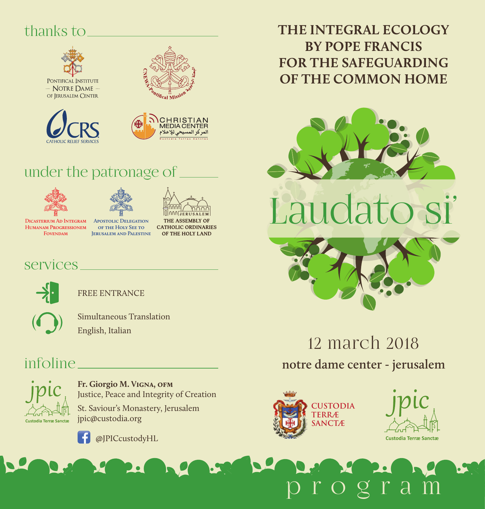## thanks to







## under the patronage of





**Dicasterium Ad Integram Apostolic Delegation Humanam Progressionem Fovendam**

**of the Holy See to Jerusalem and Palestine**

THE ASSEMBLY OF **CATHOLIC ORDINARIES** OF THE HOLY LAND

### services and services and services and services and services are  $\sim$



FREE ENTRANCE



Simultaneous Translation English, Italian

### infoline



**Fr. Giorgio M. Vigna, ofm** Justice, Peace and Integrity of Creation St. Saviour's Monastery, Jerusalem jpic@custodia.org



@JPICcustodyHL

**THE INTEGRAL ECOLOGY BY POPE FRANCIS FOR THE SAFEGUARDING OF THE COMMON HOME**



12 march 2018 **notre dame center - jerusalem**

ogra